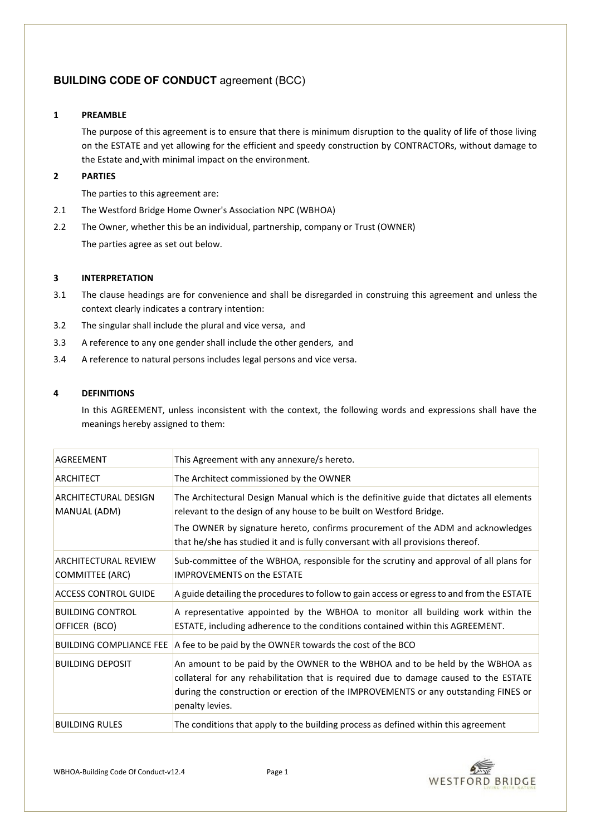# **BUILDING CODE OF CONDUCT agreement (BCC)**

# **1 PREAMBLE**

The purpose of this agreement is to ensure that there is minimum disruption to the quality of life of those living on the ESTATE and yet allowing for the efficient and speedy construction by CONTRACTORs, without damage to the Estate and with minimal impact on the environment.

# **2 PARTIES**

The parties to this agreement are:

- 2.1 The Westford Bridge Home Owner's Association NPC (WBHOA)
- 2.2 The Owner, whether this be an individual, partnership, company or Trust (OWNER) The parties agree as set out below.

# **3 INTERPRETATION**

- 3.1 The clause headings are for convenience and shall be disregarded in construing this agreement and unless the context clearly indicates a contrary intention:
- 3.2 The singular shall include the plural and vice versa, and
- 3.3 A reference to any one gender shall include the other genders, and
- 3.4 A reference to natural persons includes legal persons and vice versa.

# **4 DEFINITIONS**

In this AGREEMENT, unless inconsistent with the context, the following words and expressions shall have the meanings hereby assigned to them:

| AGREEMENT                                             | This Agreement with any annexure/s hereto.                                                                                                                                                                                                                                                                                            |
|-------------------------------------------------------|---------------------------------------------------------------------------------------------------------------------------------------------------------------------------------------------------------------------------------------------------------------------------------------------------------------------------------------|
| <b>ARCHITECT</b>                                      | The Architect commissioned by the OWNER                                                                                                                                                                                                                                                                                               |
| <b>ARCHITECTURAL DESIGN</b><br>MANUAL (ADM)           | The Architectural Design Manual which is the definitive guide that dictates all elements<br>relevant to the design of any house to be built on Westford Bridge.<br>The OWNER by signature hereto, confirms procurement of the ADM and acknowledges<br>that he/she has studied it and is fully conversant with all provisions thereof. |
| <b>ARCHITECTURAL REVIEW</b><br><b>COMMITTEE (ARC)</b> | Sub-committee of the WBHOA, responsible for the scrutiny and approval of all plans for<br><b>IMPROVEMENTS on the ESTATE</b>                                                                                                                                                                                                           |
| <b>ACCESS CONTROL GUIDE</b>                           | A guide detailing the procedures to follow to gain access or egress to and from the ESTATE                                                                                                                                                                                                                                            |
| <b>BUILDING CONTROL</b><br>OFFICER (BCO)              | A representative appointed by the WBHOA to monitor all building work within the<br>ESTATE, including adherence to the conditions contained within this AGREEMENT.                                                                                                                                                                     |
| <b>BUILDING COMPLIANCE FEE</b>                        | A fee to be paid by the OWNER towards the cost of the BCO                                                                                                                                                                                                                                                                             |
| <b>BUILDING DEPOSIT</b>                               | An amount to be paid by the OWNER to the WBHOA and to be held by the WBHOA as<br>collateral for any rehabilitation that is required due to damage caused to the ESTATE<br>during the construction or erection of the IMPROVEMENTS or any outstanding FINES or<br>penalty levies.                                                      |
| <b>BUILDING RULES</b>                                 | The conditions that apply to the building process as defined within this agreement                                                                                                                                                                                                                                                    |

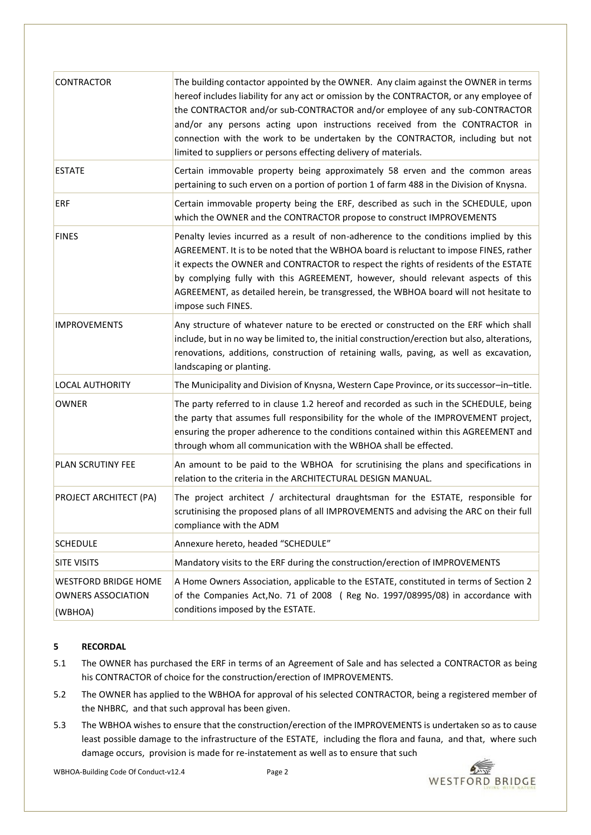| <b>CONTRACTOR</b>                                                   | The building contactor appointed by the OWNER. Any claim against the OWNER in terms<br>hereof includes liability for any act or omission by the CONTRACTOR, or any employee of<br>the CONTRACTOR and/or sub-CONTRACTOR and/or employee of any sub-CONTRACTOR<br>and/or any persons acting upon instructions received from the CONTRACTOR in<br>connection with the work to be undertaken by the CONTRACTOR, including but not<br>limited to suppliers or persons effecting delivery of materials. |
|---------------------------------------------------------------------|---------------------------------------------------------------------------------------------------------------------------------------------------------------------------------------------------------------------------------------------------------------------------------------------------------------------------------------------------------------------------------------------------------------------------------------------------------------------------------------------------|
| <b>ESTATE</b>                                                       | Certain immovable property being approximately 58 erven and the common areas<br>pertaining to such erven on a portion of portion 1 of farm 488 in the Division of Knysna.                                                                                                                                                                                                                                                                                                                         |
| <b>ERF</b>                                                          | Certain immovable property being the ERF, described as such in the SCHEDULE, upon<br>which the OWNER and the CONTRACTOR propose to construct IMPROVEMENTS                                                                                                                                                                                                                                                                                                                                         |
| <b>FINES</b>                                                        | Penalty levies incurred as a result of non-adherence to the conditions implied by this<br>AGREEMENT. It is to be noted that the WBHOA board is reluctant to impose FINES, rather<br>it expects the OWNER and CONTRACTOR to respect the rights of residents of the ESTATE<br>by complying fully with this AGREEMENT, however, should relevant aspects of this<br>AGREEMENT, as detailed herein, be transgressed, the WBHOA board will not hesitate to<br>impose such FINES.                        |
| <b>IMPROVEMENTS</b>                                                 | Any structure of whatever nature to be erected or constructed on the ERF which shall<br>include, but in no way be limited to, the initial construction/erection but also, alterations,<br>renovations, additions, construction of retaining walls, paving, as well as excavation,<br>landscaping or planting.                                                                                                                                                                                     |
| <b>LOCAL AUTHORITY</b>                                              | The Municipality and Division of Knysna, Western Cape Province, or its successor-in-title.                                                                                                                                                                                                                                                                                                                                                                                                        |
| <b>OWNER</b>                                                        | The party referred to in clause 1.2 hereof and recorded as such in the SCHEDULE, being<br>the party that assumes full responsibility for the whole of the IMPROVEMENT project,<br>ensuring the proper adherence to the conditions contained within this AGREEMENT and<br>through whom all communication with the WBHOA shall be effected.                                                                                                                                                         |
| PLAN SCRUTINY FEE                                                   | An amount to be paid to the WBHOA for scrutinising the plans and specifications in<br>relation to the criteria in the ARCHITECTURAL DESIGN MANUAL.                                                                                                                                                                                                                                                                                                                                                |
| <b>PROJECT ARCHITECT (PA)</b>                                       | The project architect / architectural draughtsman for the ESTATE, responsible for<br>scrutinising the proposed plans of all IMPROVEMENTS and advising the ARC on their full<br>compliance with the ADM                                                                                                                                                                                                                                                                                            |
| <b>SCHEDULE</b>                                                     | Annexure hereto, headed "SCHEDULE"                                                                                                                                                                                                                                                                                                                                                                                                                                                                |
| <b>SITE VISITS</b>                                                  | Mandatory visits to the ERF during the construction/erection of IMPROVEMENTS                                                                                                                                                                                                                                                                                                                                                                                                                      |
| <b>WESTFORD BRIDGE HOME</b><br><b>OWNERS ASSOCIATION</b><br>(WBHOA) | A Home Owners Association, applicable to the ESTATE, constituted in terms of Section 2<br>of the Companies Act, No. 71 of 2008 ( Reg No. 1997/08995/08) in accordance with<br>conditions imposed by the ESTATE.                                                                                                                                                                                                                                                                                   |

# **5 RECORDAL**

- 5.1 The OWNER has purchased the ERF in terms of an Agreement of Sale and has selected a CONTRACTOR as being his CONTRACTOR of choice for the construction/erection of IMPROVEMENTS.
- 5.2 The OWNER has applied to the WBHOA for approval of his selected CONTRACTOR, being a registered member of the NHBRC, and that such approval has been given.
- 5.3 The WBHOA wishes to ensure that the construction/erection of the IMPROVEMENTS is undertaken so as to cause least possible damage to the infrastructure of the ESTATE, including the flora and fauna, and that, where such damage occurs, provision is made for re-instatement as well as to ensure that such

WBHOA-Building Code Of Conduct-v12.4 Page 2

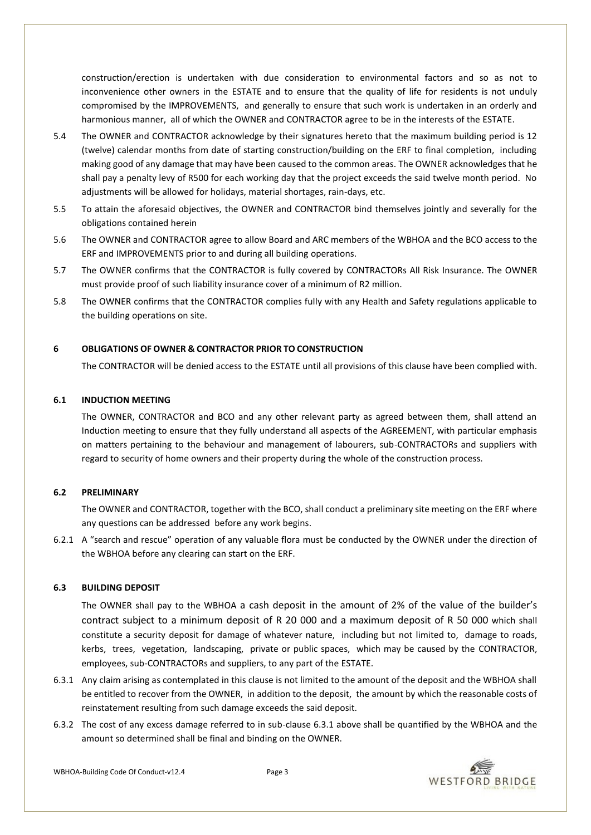construction/erection is undertaken with due consideration to environmental factors and so as not to inconvenience other owners in the ESTATE and to ensure that the quality of life for residents is not unduly compromised by the IMPROVEMENTS, and generally to ensure that such work is undertaken in an orderly and harmonious manner, all of which the OWNER and CONTRACTOR agree to be in the interests of the ESTATE.

- 5.4 The OWNER and CONTRACTOR acknowledge by their signatures hereto that the maximum building period is 12 (twelve) calendar months from date of starting construction/building on the ERF to final completion, including making good of any damage that may have been caused to the common areas. The OWNER acknowledges that he shall pay a penalty levy of R500 for each working day that the project exceeds the said twelve month period. No adjustments will be allowed for holidays, material shortages, rain-days, etc.
- 5.5 To attain the aforesaid objectives, the OWNER and CONTRACTOR bind themselves jointly and severally for the obligations contained herein
- 5.6 The OWNER and CONTRACTOR agree to allow Board and ARC members of the WBHOA and the BCO access to the ERF and IMPROVEMENTS prior to and during all building operations.
- 5.7 The OWNER confirms that the CONTRACTOR is fully covered by CONTRACTORs All Risk Insurance. The OWNER must provide proof of such liability insurance cover of a minimum of R2 million.
- 5.8 The OWNER confirms that the CONTRACTOR complies fully with any Health and Safety regulations applicable to the building operations on site.

# **6 OBLIGATIONS OF OWNER & CONTRACTOR PRIOR TO CONSTRUCTION**

The CONTRACTOR will be denied access to the ESTATE until all provisions of this clause have been complied with.

# **6.1 INDUCTION MEETING**

The OWNER, CONTRACTOR and BCO and any other relevant party as agreed between them, shall attend an Induction meeting to ensure that they fully understand all aspects of the AGREEMENT, with particular emphasis on matters pertaining to the behaviour and management of labourers, sub-CONTRACTORs and suppliers with regard to security of home owners and their property during the whole of the construction process.

### **6.2 PRELIMINARY**

The OWNER and CONTRACTOR, together with the BCO, shall conduct a preliminary site meeting on the ERF where any questions can be addressed before any work begins.

6.2.1 A "search and rescue" operation of any valuable flora must be conducted by the OWNER under the direction of the WBHOA before any clearing can start on the ERF.

### **6.3 BUILDING DEPOSIT**

The OWNER shall pay to the WBHOA a cash deposit in the amount of 2% of the value of the builder's contract subject to a minimum deposit of R 20 000 and a maximum deposit of R 50 000 which shall constitute a security deposit for damage of whatever nature, including but not limited to, damage to roads, kerbs, trees, vegetation, landscaping, private or public spaces, which may be caused by the CONTRACTOR, employees, sub-CONTRACTORs and suppliers, to any part of the ESTATE.

- 6.3.1 Any claim arising as contemplated in this clause is not limited to the amount of the deposit and the WBHOA shall be entitled to recover from the OWNER, in addition to the deposit, the amount by which the reasonable costs of reinstatement resulting from such damage exceeds the said deposit.
- 6.3.2 The cost of any excess damage referred to in sub-clause 6.3.1 above shall be quantified by the WBHOA and the amount so determined shall be final and binding on the OWNER.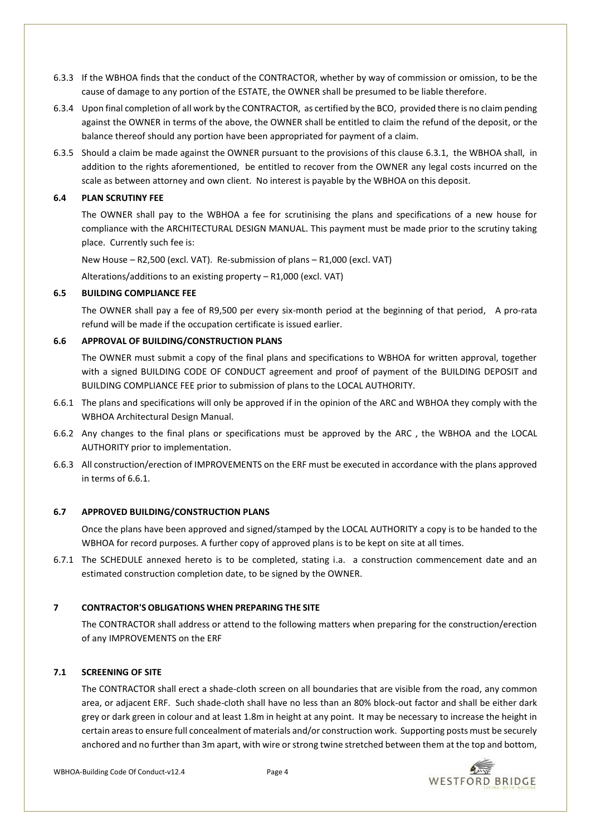- 6.3.3 If the WBHOA finds that the conduct of the CONTRACTOR, whether by way of commission or omission, to be the cause of damage to any portion of the ESTATE, the OWNER shall be presumed to be liable therefore.
- 6.3.4 Upon final completion of all work by the CONTRACTOR, as certified by the BCO, provided there is no claim pending against the OWNER in terms of the above, the OWNER shall be entitled to claim the refund of the deposit, or the balance thereof should any portion have been appropriated for payment of a claim.
- 6.3.5 Should a claim be made against the OWNER pursuant to the provisions of this clause 6.3.1, the WBHOA shall, in addition to the rights aforementioned, be entitled to recover from the OWNER any legal costs incurred on the scale as between attorney and own client. No interest is payable by the WBHOA on this deposit.

### **6.4 PLAN SCRUTINY FEE**

The OWNER shall pay to the WBHOA a fee for scrutinising the plans and specifications of a new house for compliance with the ARCHITECTURAL DESIGN MANUAL. This payment must be made prior to the scrutiny taking place. Currently such fee is:

New House – R2,500 (excl. VAT). Re-submission of plans – R1,000 (excl. VAT)

Alterations/additions to an existing property – R1,000 (excl. VAT)

# **6.5 BUILDING COMPLIANCE FEE**

The OWNER shall pay a fee of R9,500 per every six-month period at the beginning of that period, A pro-rata refund will be made if the occupation certificate is issued earlier.

# **6.6 APPROVAL OF BUILDING/CONSTRUCTION PLANS**

The OWNER must submit a copy of the final plans and specifications to WBHOA for written approval, together with a signed BUILDING CODE OF CONDUCT agreement and proof of payment of the BUILDING DEPOSIT and BUILDING COMPLIANCE FEE prior to submission of plans to the LOCAL AUTHORITY.

- 6.6.1 The plans and specifications will only be approved if in the opinion of the ARC and WBHOA they comply with the WBHOA Architectural Design Manual.
- 6.6.2 Any changes to the final plans or specifications must be approved by the ARC , the WBHOA and the LOCAL AUTHORITY prior to implementation.
- 6.6.3 All construction/erection of IMPROVEMENTS on the ERF must be executed in accordance with the plans approved in terms of 6.6.1.

# **6.7 APPROVED BUILDING/CONSTRUCTION PLANS**

Once the plans have been approved and signed/stamped by the LOCAL AUTHORITY a copy is to be handed to the WBHOA for record purposes. A further copy of approved plans is to be kept on site at all times.

6.7.1 The SCHEDULE annexed hereto is to be completed, stating i.a. a construction commencement date and an estimated construction completion date, to be signed by the OWNER.

# **7 CONTRACTOR'S OBLIGATIONS WHEN PREPARING THE SITE**

The CONTRACTOR shall address or attend to the following matters when preparing for the construction/erection of any IMPROVEMENTS on the ERF

# **7.1 SCREENING OF SITE**

The CONTRACTOR shall erect a shade-cloth screen on all boundaries that are visible from the road, any common area, or adjacent ERF. Such shade-cloth shall have no less than an 80% block-out factor and shall be either dark grey or dark green in colour and at least 1.8m in height at any point. It may be necessary to increase the height in certain areas to ensure full concealment of materials and/or construction work. Supporting posts must be securely anchored and no further than 3m apart, with wire or strong twine stretched between them at the top and bottom,

WBHOA-Building Code Of Conduct-v12.4 Page 4

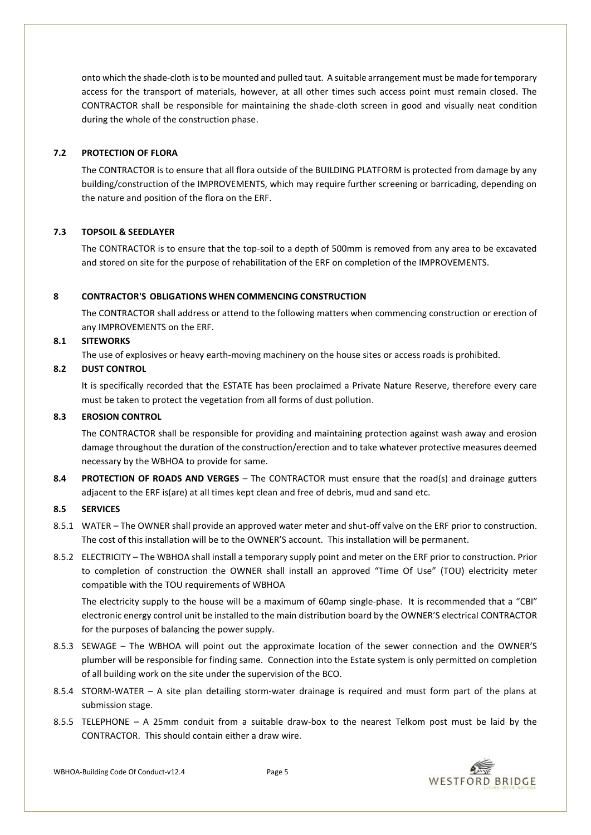onto which the shade-cloth is to be mounted and pulled taut. A suitable arrangement must be made for temporary access for the transport of materials, however, at all other times such access point must remain closed. The CONTRACTOR shall be responsible for maintaining the shade-cloth screen in good and visually neat condition during the whole of the construction phase.

### **7.2 PROTECTION OF FLORA**

The CONTRACTOR is to ensure that all flora outside of the BUILDING PLATFORM is protected from damage by any building/construction of the IMPROVEMENTS, which may require further screening or barricading, depending on the nature and position of the flora on the ERF.

# **7.3 TOPSOIL & SEEDLAYER**

The CONTRACTOR is to ensure that the top-soil to a depth of 500mm is removed from any area to be excavated and stored on site for the purpose of rehabilitation of the ERF on completion of the IMPROVEMENTS.

### **8 CONTRACTOR'S OBLIGATIONS WHEN COMMENCING CONSTRUCTION**

The CONTRACTOR shall address or attend to the following matters when commencing construction or erection of any IMPROVEMENTS on the ERF.

### **8.1 SITEWORKS**

The use of explosives or heavy earth-moving machinery on the house sites or access roads is prohibited.

### **8.2 DUST CONTROL**

It is specifically recorded that the ESTATE has been proclaimed a Private Nature Reserve, therefore every care must be taken to protect the vegetation from all forms of dust pollution.

### **8.3 EROSION CONTROL**

The CONTRACTOR shall be responsible for providing and maintaining protection against wash away and erosion damage throughout the duration of the construction/erection and to take whatever protective measures deemed necessary by the WBHOA to provide for same.

**8.4 PROTECTION OF ROADS AND VERGES** – The CONTRACTOR must ensure that the road(s) and drainage gutters adjacent to the ERF is(are) at all times kept clean and free of debris, mud and sand etc.

### **8.5 SERVICES**

- 8.5.1 WATER The OWNER shall provide an approved water meter and shut-off valve on the ERF prior to construction. The cost of this installation will be to the OWNER'S account. This installation will be permanent.
- 8.5.2 ELECTRICITY The WBHOA shall install a temporary supply point and meter on the ERF prior to construction. Prior to completion of construction the OWNER shall install an approved "Time Of Use" (TOU) electricity meter compatible with the TOU requirements of WBHOA

The electricity supply to the house will be a maximum of 60amp single-phase. It is recommended that a "CBI" electronic energy control unit be installed to the main distribution board by the OWNER'S electrical CONTRACTOR for the purposes of balancing the power supply.

- 8.5.3 SEWAGE The WBHOA will point out the approximate location of the sewer connection and the OWNER'S plumber will be responsible for finding same. Connection into the Estate system is only permitted on completion of all building work on the site under the supervision of the BCO.
- 8.5.4 STORM-WATER A site plan detailing storm-water drainage is required and must form part of the plans at submission stage.
- 8.5.5 TELEPHONE A 25mm conduit from a suitable draw-box to the nearest Telkom post must be laid by the CONTRACTOR. This should contain either a draw wire.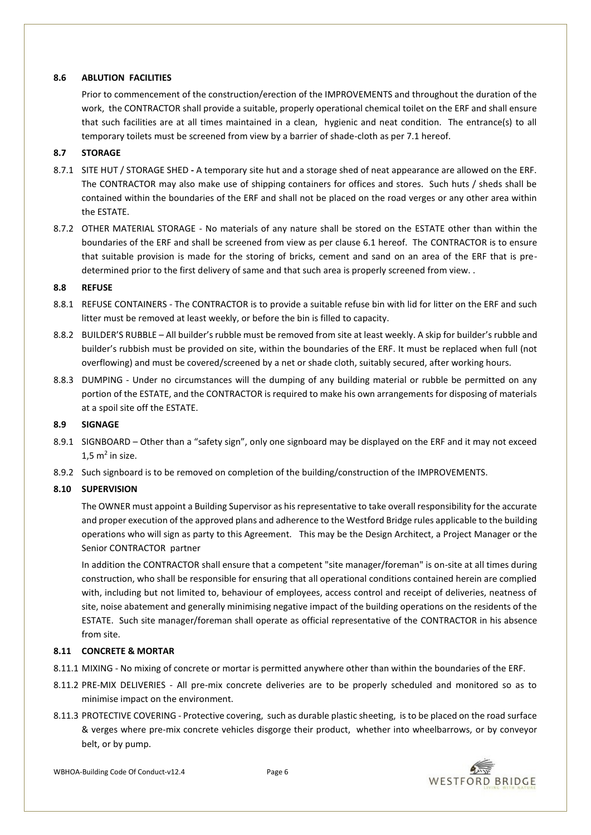### **8.6 ABLUTION FACILITIES**

Prior to commencement of the construction/erection of the IMPROVEMENTS and throughout the duration of the work, the CONTRACTOR shall provide a suitable, properly operational chemical toilet on the ERF and shall ensure that such facilities are at all times maintained in a clean, hygienic and neat condition. The entrance(s) to all temporary toilets must be screened from view by a barrier of shade-cloth as per 7.1 hereof.

# **8.7 STORAGE**

- 8.7.1 SITE HUT / STORAGE SHED **-** A temporary site hut and a storage shed of neat appearance are allowed on the ERF. The CONTRACTOR may also make use of shipping containers for offices and stores. Such huts / sheds shall be contained within the boundaries of the ERF and shall not be placed on the road verges or any other area within the ESTATE.
- 8.7.2 OTHER MATERIAL STORAGE No materials of any nature shall be stored on the ESTATE other than within the boundaries of the ERF and shall be screened from view as per clause 6.1 hereof. The CONTRACTOR is to ensure that suitable provision is made for the storing of bricks, cement and sand on an area of the ERF that is predetermined prior to the first delivery of same and that such area is properly screened from view. .

### **8.8 REFUSE**

- 8.8.1 REFUSE CONTAINERS The CONTRACTOR is to provide a suitable refuse bin with lid for litter on the ERF and such litter must be removed at least weekly, or before the bin is filled to capacity.
- 8.8.2 BUILDER'S RUBBLE All builder's rubble must be removed from site at least weekly. A skip for builder's rubble and builder's rubbish must be provided on site, within the boundaries of the ERF. It must be replaced when full (not overflowing) and must be covered/screened by a net or shade cloth, suitably secured, after working hours.
- 8.8.3 DUMPING Under no circumstances will the dumping of any building material or rubble be permitted on any portion of the ESTATE, and the CONTRACTOR is required to make his own arrangements for disposing of materials at a spoil site off the ESTATE.

### **8.9 SIGNAGE**

- 8.9.1 SIGNBOARD Other than a "safety sign", only one signboard may be displayed on the ERF and it may not exceed  $1,5 \text{ m}^2$  in size.
- 8.9.2 Such signboard is to be removed on completion of the building/construction of the IMPROVEMENTS.

# **8.10 SUPERVISION**

The OWNER must appoint a Building Supervisor as his representative to take overall responsibility for the accurate and proper execution of the approved plans and adherence to the Westford Bridge rules applicable to the building operations who will sign as party to this Agreement. This may be the Design Architect, a Project Manager or the Senior CONTRACTOR partner

In addition the CONTRACTOR shall ensure that a competent "site manager/foreman" is on-site at all times during construction, who shall be responsible for ensuring that all operational conditions contained herein are complied with, including but not limited to, behaviour of employees, access control and receipt of deliveries, neatness of site, noise abatement and generally minimising negative impact of the building operations on the residents of the ESTATE. Such site manager/foreman shall operate as official representative of the CONTRACTOR in his absence from site.

### **8.11 CONCRETE & MORTAR**

- 8.11.1 MIXING No mixing of concrete or mortar is permitted anywhere other than within the boundaries of the ERF.
- 8.11.2 PRE-MIX DELIVERIES All pre-mix concrete deliveries are to be properly scheduled and monitored so as to minimise impact on the environment.
- 8.11.3 PROTECTIVE COVERING Protective covering, such as durable plastic sheeting, is to be placed on the road surface & verges where pre-mix concrete vehicles disgorge their product, whether into wheelbarrows, or by conveyor belt, or by pump.

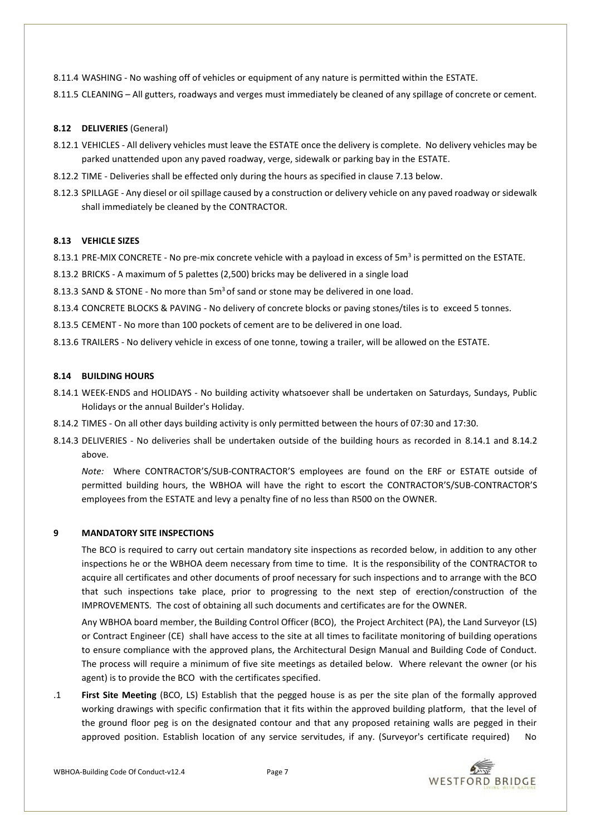- 8.11.4 WASHING No washing off of vehicles or equipment of any nature is permitted within the ESTATE.
- 8.11.5 CLEANING All gutters, roadways and verges must immediately be cleaned of any spillage of concrete or cement.

### **8.12 DELIVERIES** (General)

- 8.12.1 VEHICLES All delivery vehicles must leave the ESTATE once the delivery is complete. No delivery vehicles may be parked unattended upon any paved roadway, verge, sidewalk or parking bay in the ESTATE.
- 8.12.2 TIME Deliveries shall be effected only during the hours as specified in clause 7.13 below.
- 8.12.3 SPILLAGE Any diesel or oil spillage caused by a construction or delivery vehicle on any paved roadway or sidewalk shall immediately be cleaned by the CONTRACTOR.

# **8.13 VEHICLE SIZES**

- 8.13.1 PRE-MIX CONCRETE No pre-mix concrete vehicle with a payload in excess of 5m<sup>3</sup> is permitted on the ESTATE.
- 8.13.2 BRICKS A maximum of 5 palettes (2,500) bricks may be delivered in a single load
- 8.13.3 SAND & STONE No more than 5m<sup>3</sup> of sand or stone may be delivered in one load.
- 8.13.4 CONCRETE BLOCKS & PAVING No delivery of concrete blocks or paving stones/tiles is to exceed 5 tonnes.
- 8.13.5 CEMENT No more than 100 pockets of cement are to be delivered in one load.
- 8.13.6 TRAILERS No delivery vehicle in excess of one tonne, towing a trailer, will be allowed on the ESTATE.

# **8.14 BUILDING HOURS**

- 8.14.1 WEEK-ENDS and HOLIDAYS No building activity whatsoever shall be undertaken on Saturdays, Sundays, Public Holidays or the annual Builder's Holiday.
- 8.14.2 TIMES On all other days building activity is only permitted between the hours of 07:30 and 17:30.
- 8.14.3 DELIVERIES No deliveries shall be undertaken outside of the building hours as recorded in 8.14.1 and 8.14.2 above.

*Note:* Where CONTRACTOR'S/SUB-CONTRACTOR'S employees are found on the ERF or ESTATE outside of permitted building hours, the WBHOA will have the right to escort the CONTRACTOR'S/SUB-CONTRACTOR'S employees from the ESTATE and levy a penalty fine of no less than R500 on the OWNER.

### **9 MANDATORY SITE INSPECTIONS**

The BCO is required to carry out certain mandatory site inspections as recorded below, in addition to any other inspections he or the WBHOA deem necessary from time to time. It is the responsibility of the CONTRACTOR to acquire all certificates and other documents of proof necessary for such inspections and to arrange with the BCO that such inspections take place, prior to progressing to the next step of erection/construction of the IMPROVEMENTS. The cost of obtaining all such documents and certificates are for the OWNER.

Any WBHOA board member, the Building Control Officer (BCO), the Project Architect (PA), the Land Surveyor (LS) or Contract Engineer (CE) shall have access to the site at all times to facilitate monitoring of building operations to ensure compliance with the approved plans, the Architectural Design Manual and Building Code of Conduct. The process will require a minimum of five site meetings as detailed below. Where relevant the owner (or his agent) is to provide the BCO with the certificates specified.

.1 **First Site Meeting** (BCO, LS) Establish that the pegged house is as per the site plan of the formally approved working drawings with specific confirmation that it fits within the approved building platform, that the level of the ground floor peg is on the designated contour and that any proposed retaining walls are pegged in their approved position. Establish location of any service servitudes, if any. (Surveyor's certificate required) No

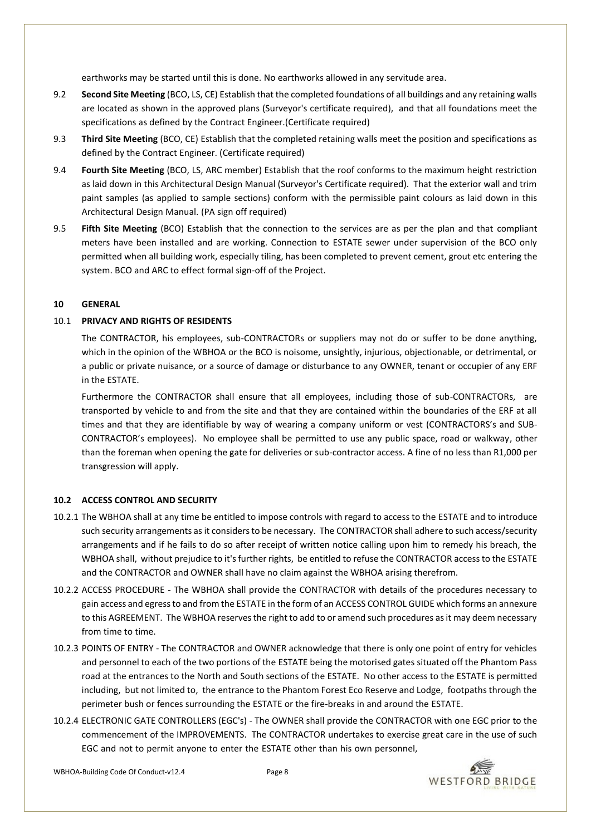earthworks may be started until this is done. No earthworks allowed in any servitude area.

- 9.2 **Second Site Meeting** (BCO, LS, CE) Establish that the completed foundations of all buildings and any retaining walls are located as shown in the approved plans (Surveyor's certificate required), and that all foundations meet the specifications as defined by the Contract Engineer.(Certificate required)
- 9.3 **Third Site Meeting** (BCO, CE) Establish that the completed retaining walls meet the position and specifications as defined by the Contract Engineer. (Certificate required)
- 9.4 **Fourth Site Meeting** (BCO, LS, ARC member) Establish that the roof conforms to the maximum height restriction as laid down in this Architectural Design Manual (Surveyor's Certificate required). That the exterior wall and trim paint samples (as applied to sample sections) conform with the permissible paint colours as laid down in this Architectural Design Manual. (PA sign off required)
- 9.5 **Fifth Site Meeting** (BCO) Establish that the connection to the services are as per the plan and that compliant meters have been installed and are working. Connection to ESTATE sewer under supervision of the BCO only permitted when all building work, especially tiling, has been completed to prevent cement, grout etc entering the system. BCO and ARC to effect formal sign-off of the Project.

#### **10 GENERAL**

#### 10.1 **PRIVACY AND RIGHTS OF RESIDENTS**

The CONTRACTOR, his employees, sub-CONTRACTORs or suppliers may not do or suffer to be done anything, which in the opinion of the WBHOA or the BCO is noisome, unsightly, injurious, objectionable, or detrimental, or a public or private nuisance, or a source of damage or disturbance to any OWNER, tenant or occupier of any ERF in the ESTATE.

Furthermore the CONTRACTOR shall ensure that all employees, including those of sub-CONTRACTORs, are transported by vehicle to and from the site and that they are contained within the boundaries of the ERF at all times and that they are identifiable by way of wearing a company uniform or vest (CONTRACTORS's and SUB-CONTRACTOR's employees). No employee shall be permitted to use any public space, road or walkway, other than the foreman when opening the gate for deliveries or sub-contractor access. A fine of no less than R1,000 per transgression will apply.

### **10.2 ACCESS CONTROL AND SECURITY**

- 10.2.1 The WBHOA shall at any time be entitled to impose controls with regard to access to the ESTATE and to introduce such security arrangements as it considers to be necessary. The CONTRACTOR shall adhere to such access/security arrangements and if he fails to do so after receipt of written notice calling upon him to remedy his breach, the WBHOA shall, without prejudice to it's further rights, be entitled to refuse the CONTRACTOR access to the ESTATE and the CONTRACTOR and OWNER shall have no claim against the WBHOA arising therefrom.
- 10.2.2 ACCESS PROCEDURE The WBHOA shall provide the CONTRACTOR with details of the procedures necessary to gain access and egress to and from the ESTATE in the form of an ACCESS CONTROL GUIDE which forms an annexure to this AGREEMENT. The WBHOA reserves the right to add to or amend such procedures as it may deem necessary from time to time.
- 10.2.3 POINTS OF ENTRY The CONTRACTOR and OWNER acknowledge that there is only one point of entry for vehicles and personnel to each of the two portions of the ESTATE being the motorised gates situated off the Phantom Pass road at the entrances to the North and South sections of the ESTATE. No other access to the ESTATE is permitted including, but not limited to, the entrance to the Phantom Forest Eco Reserve and Lodge, footpaths through the perimeter bush or fences surrounding the ESTATE or the fire-breaks in and around the ESTATE.
- 10.2.4 ELECTRONIC GATE CONTROLLERS (EGC's) The OWNER shall provide the CONTRACTOR with one EGC prior to the commencement of the IMPROVEMENTS. The CONTRACTOR undertakes to exercise great care in the use of such EGC and not to permit anyone to enter the ESTATE other than his own personnel,

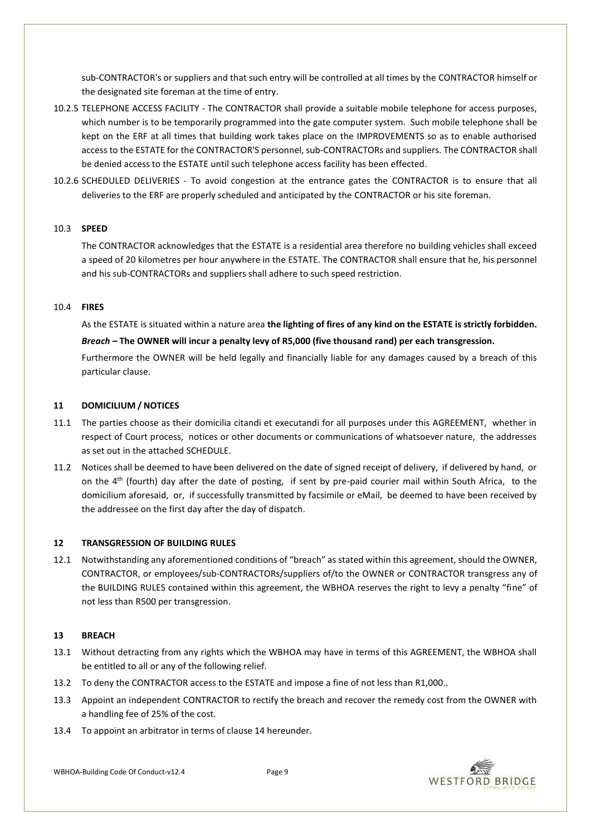sub-CONTRACTOR's or suppliers and that such entry will be controlled at all times by the CONTRACTOR himself or the designated site foreman at the time of entry.

- 10.2.5 TELEPHONE ACCESS FACILITY The CONTRACTOR shall provide a suitable mobile telephone for access purposes, which number is to be temporarily programmed into the gate computer system. Such mobile telephone shall be kept on the ERF at all times that building work takes place on the IMPROVEMENTS so as to enable authorised access to the ESTATE for the CONTRACTOR'S personnel, sub-CONTRACTORs and suppliers. The CONTRACTOR shall be denied access to the ESTATE until such telephone access facility has been effected.
- 10.2.6 SCHEDULED DELIVERIES To avoid congestion at the entrance gates the CONTRACTOR is to ensure that all deliveries to the ERF are properly scheduled and anticipated by the CONTRACTOR or his site foreman.

#### 10.3 **SPEED**

The CONTRACTOR acknowledges that the ESTATE is a residential area therefore no building vehicles shall exceed a speed of 20 kilometres per hour anywhere in the ESTATE. The CONTRACTOR shall ensure that he, his personnel and his sub-CONTRACTORs and suppliers shall adhere to such speed restriction.

#### 10.4 **FIRES**

As the ESTATE is situated within a nature area **the lighting of fires of any kind on the ESTATE is strictly forbidden.**

#### *Breach* **– The OWNER will incur a penalty levy of R5,000 (five thousand rand) per each transgression.**

Furthermore the OWNER will be held legally and financially liable for any damages caused by a breach of this particular clause.

#### **11 DOMICILIUM / NOTICES**

- 11.1 The parties choose as their domicilia citandi et executandi for all purposes under this AGREEMENT, whether in respect of Court process, notices or other documents or communications of whatsoever nature, the addresses as set out in the attached SCHEDULE.
- 11.2 Notices shall be deemed to have been delivered on the date of signed receipt of delivery, if delivered by hand, or on the  $4<sup>th</sup>$  (fourth) day after the date of posting, if sent by pre-paid courier mail within South Africa, to the domicilium aforesaid, or, if successfully transmitted by facsimile or eMail, be deemed to have been received by the addressee on the first day after the day of dispatch.

### **12 TRANSGRESSION OF BUILDING RULES**

12.1 Notwithstanding any aforementioned conditions of "breach" as stated within this agreement, should the OWNER, CONTRACTOR, or employees/sub-CONTRACTORs/suppliers of/to the OWNER or CONTRACTOR transgress any of the BUILDING RULES contained within this agreement, the WBHOA reserves the right to levy a penalty "fine" of not less than R500 per transgression.

#### **13 BREACH**

- 13.1 Without detracting from any rights which the WBHOA may have in terms of this AGREEMENT, the WBHOA shall be entitled to all or any of the following relief.
- 13.2 To deny the CONTRACTOR access to the ESTATE and impose a fine of not less than R1,000..
- 13.3 Appoint an independent CONTRACTOR to rectify the breach and recover the remedy cost from the OWNER with a handling fee of 25% of the cost.
- 13.4 To appoint an arbitrator in terms of clause 14 hereunder.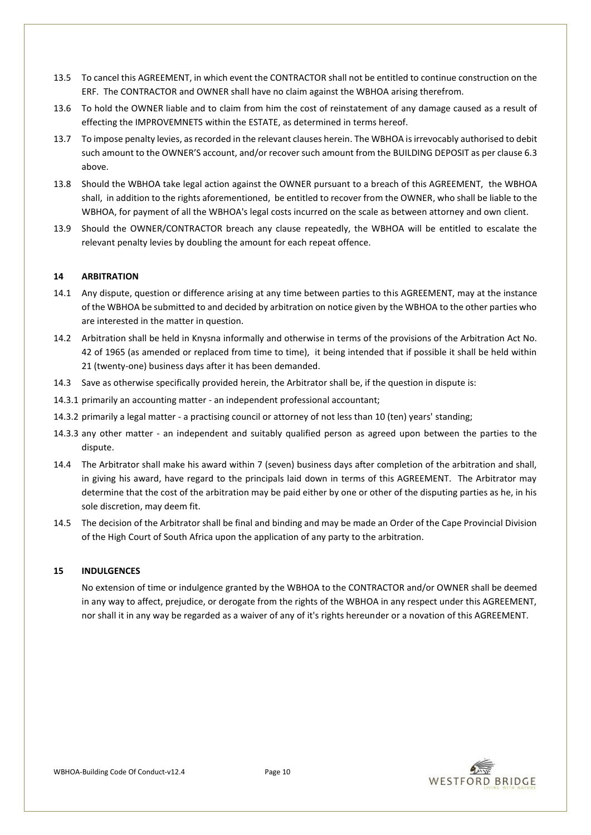- 13.5 To cancel this AGREEMENT, in which event the CONTRACTOR shall not be entitled to continue construction on the ERF. The CONTRACTOR and OWNER shall have no claim against the WBHOA arising therefrom.
- 13.6 To hold the OWNER liable and to claim from him the cost of reinstatement of any damage caused as a result of effecting the IMPROVEMNETS within the ESTATE, as determined in terms hereof.
- 13.7 To impose penalty levies, as recorded in the relevant clauses herein. The WBHOA is irrevocably authorised to debit such amount to the OWNER'S account, and/or recover such amount from the BUILDING DEPOSIT as per clause 6.3 above.
- 13.8 Should the WBHOA take legal action against the OWNER pursuant to a breach of this AGREEMENT, the WBHOA shall, in addition to the rights aforementioned, be entitled to recover from the OWNER, who shall be liable to the WBHOA, for payment of all the WBHOA's legal costs incurred on the scale as between attorney and own client.
- 13.9 Should the OWNER/CONTRACTOR breach any clause repeatedly, the WBHOA will be entitled to escalate the relevant penalty levies by doubling the amount for each repeat offence.

#### **14 ARBITRATION**

- 14.1 Any dispute, question or difference arising at any time between parties to this AGREEMENT, may at the instance of the WBHOA be submitted to and decided by arbitration on notice given by the WBHOA to the other parties who are interested in the matter in question.
- 14.2 Arbitration shall be held in Knysna informally and otherwise in terms of the provisions of the Arbitration Act No. 42 of 1965 (as amended or replaced from time to time), it being intended that if possible it shall be held within 21 (twenty-one) business days after it has been demanded.
- 14.3 Save as otherwise specifically provided herein, the Arbitrator shall be, if the question in dispute is:
- 14.3.1 primarily an accounting matter an independent professional accountant;
- 14.3.2 primarily a legal matter a practising council or attorney of not less than 10 (ten) years' standing;
- 14.3.3 any other matter an independent and suitably qualified person as agreed upon between the parties to the dispute.
- 14.4 The Arbitrator shall make his award within 7 (seven) business days after completion of the arbitration and shall, in giving his award, have regard to the principals laid down in terms of this AGREEMENT. The Arbitrator may determine that the cost of the arbitration may be paid either by one or other of the disputing parties as he, in his sole discretion, may deem fit.
- 14.5 The decision of the Arbitrator shall be final and binding and may be made an Order of the Cape Provincial Division of the High Court of South Africa upon the application of any party to the arbitration.

#### **15 INDULGENCES**

No extension of time or indulgence granted by the WBHOA to the CONTRACTOR and/or OWNER shall be deemed in any way to affect, prejudice, or derogate from the rights of the WBHOA in any respect under this AGREEMENT, nor shall it in any way be regarded as a waiver of any of it's rights hereunder or a novation of this AGREEMENT.